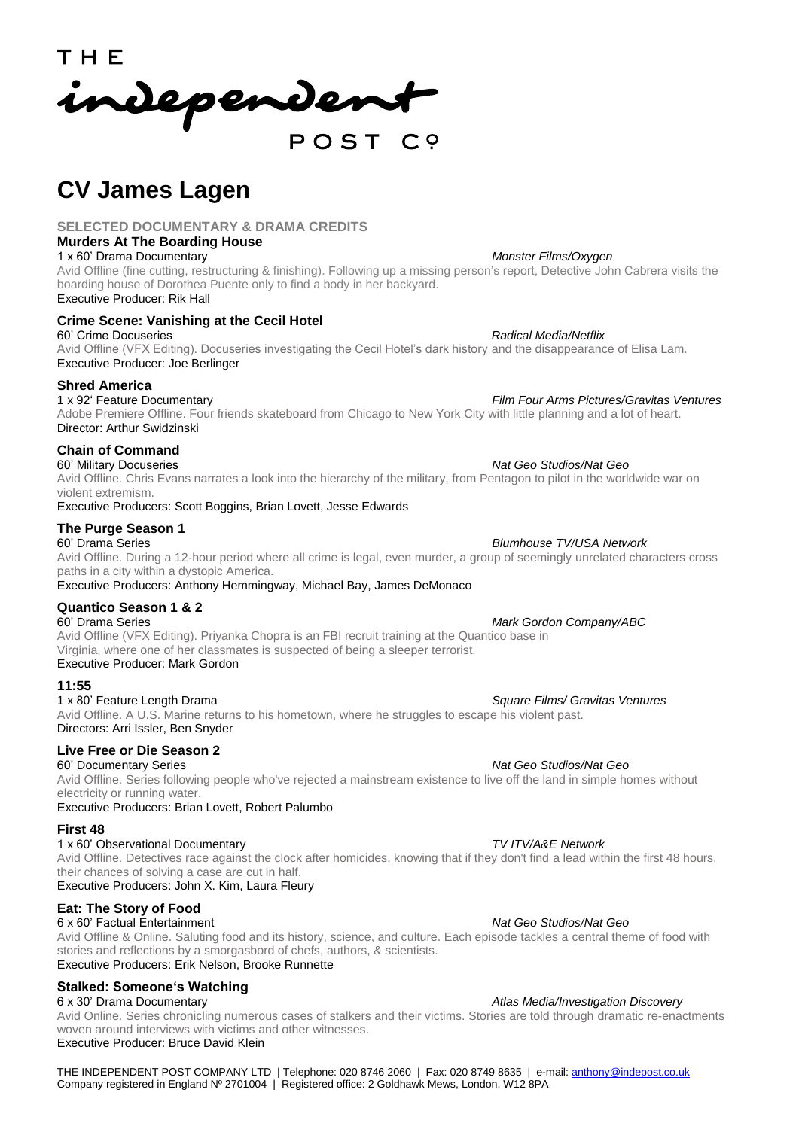T H E independent

# **CV James Lagen**

# **SELECTED DOCUMENTARY & DRAMA CREDITS**

# **Murders At The Boarding House**

Avid Offline (fine cutting, restructuring & finishing). Following up a missing person's report, Detective John Cabrera visits the boarding house of Dorothea Puente only to find a body in her backyard.

Executive Producer: Rik Hall

# **Crime Scene: Vanishing at the Cecil Hotel**

60' Crime Docuseries *Radical Media/Netflix* Avid Offline (VFX Editing). Docuseries investigating the Cecil Hotel's dark history and the disappearance of Elisa Lam. Executive Producer: Joe Berlinger

# **Shred America**

1 x 92' Feature Documentary *Film Four Arms Pictures/Gravitas Ventures* Adobe Premiere Offline. Four friends skateboard from Chicago to New York City with little planning and a lot of heart. Director: Arthur Swidzinski

# **Chain of Command**

60' Military Docuseries *Nat Geo Studios/Nat Geo* Avid Offline. Chris Evans narrates a look into the hierarchy of the military, from Pentagon to pilot in the worldwide war on violent extremism.

Executive Producers: Scott Boggins, Brian Lovett, Jesse Edwards

# **The Purge Season 1**

### Avid Offline. During a 12-hour period where all crime is legal, even murder, a group of seemingly unrelated characters cross paths in a city within a dystopic America. Executive Producers: Anthony Hemmingway, Michael Bay, James DeMonaco

# **Quantico Season 1 & 2**

Avid Offline (VFX Editing). Priyanka Chopra is an FBI recruit training at the Quantico base in Virginia, where one of her classmates is suspected of being a sleeper terrorist. Executive Producer: Mark Gordon

**11:55**

Avid Offline. A U.S. Marine returns to his hometown, where he struggles to escape his violent past. Directors: Arri Issler, Ben Snyder

# **Live Free or Die Season 2**

60' Documentary Series *Nat Geo Studios/Nat Geo* Avid Offline. Series following people who've rejected a mainstream existence to live off the land in simple homes without electricity or running water.

Executive Producers: Brian Lovett, Robert Palumbo

### **First 48**

### 1 x 60' Observational Documentary *TV ITV/A&E Network*

Avid Offline. Detectives race against the clock after homicides, knowing that if they don't find a lead within the first 48 hours, their chances of solving a case are cut in half.

Executive Producers: John X. Kim, Laura Fleury

# **Eat: The Story of Food**

6 x 60' Factual Entertainment *Nat Geo Studios/Nat Geo* Avid Offline & Online. Saluting food and its history, science, and culture. Each episode tackles a central theme of food with stories and reflections by a smorgasbord of chefs, authors, & scientists. Executive Producers: Erik Nelson, Brooke Runnette

# **Stalked: Someone's Watching**

6 x 30' Drama Documentary *Atlas Media/Investigation Discovery* Avid Online. Series chronicling numerous cases of stalkers and their victims. Stories are told through dramatic re-enactments woven around interviews with victims and other witnesses.

Executive Producer: Bruce David Klein

THE INDEPENDENT POST COMPANY LTD | Telephone: 020 8746 2060 | Fax: 020 8749 8635 | e-mail: [anthony@indepost.co.uk](mailto:anthony@indepost.co.uk) Company registered in England Nº 2701004 | Registered office: 2 Goldhawk Mews, London, W12 8PA

# 1 x 60' Drama Documentary*Monster Films/Oxygen*

### 60' Drama Series *Blumhouse TV/USA Network*

### **Mark Gordon Company/ABC**

### 1 x 80' Feature Length Drama *Square Films/ Gravitas Ventures*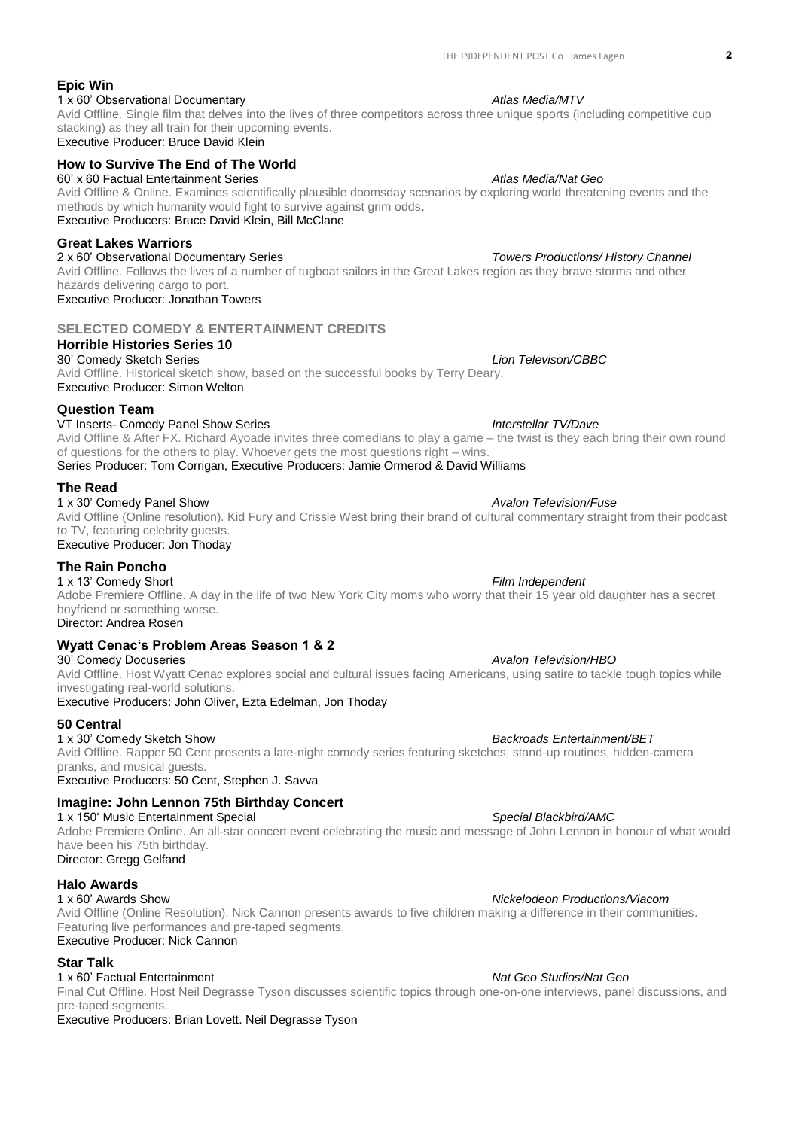### **Epic Win** 1 x 60' Observational Documentary **Atlas Media/MTV** 2009 and  $\theta$  Atlas Media/MTV

### Avid Offline. Single film that delves into the lives of three competitors across three unique sports (including competitive cup stacking) as they all train for their upcoming events. Executive Producer: Bruce David Klein

# **How to Survive The End of The World**

# 60' x 60 Factual Entertainment Series *Atlas Media/Nat Geo*

Avid Offline & Online. Examines scientifically plausible doomsday scenarios by exploring world threatening events and the methods by which humanity would fight to survive against grim odds. Executive Producers: Bruce David Klein, Bill McClane

### **Great Lakes Warriors**

2 x 60' Observational Documentary Series *Towers Productions/ History Channel* Avid Offline. Follows the lives of a number of tugboat sailors in the Great Lakes region as they brave storms and other hazards delivering cargo to port.

Executive Producer: Jonathan Towers

# **SELECTED COMEDY & ENTERTAINMENT CREDITS**

# **Horrible Histories Series 10**

30' Comedy Sketch Series *Lion Televison/CBBC* Avid Offline. Historical sketch show, based on the successful books by Terry Deary. Executive Producer: Simon Welton

### **Question Team**

### VT Inserts- Comedy Panel Show Series *Interstellar TV/Dave*

Avid Offline & After FX. Richard Ayoade invites three comedians to play a game – the twist is they each bring their own round of questions for the others to play. Whoever gets the most questions right – wins.

Series Producer: Tom Corrigan, Executive Producers: Jamie Ormerod & David Williams

### **The Read**

## 1 x 30' Comedy Panel Show *Avalon Television/Fuse*

Avid Offline (Online resolution). Kid Fury and Crissle West bring their brand of cultural commentary straight from their podcast to TV, featuring celebrity guests. Executive Producer: Jon Thoday

### **The Rain Poncho**

1 x 13' Comedy Short *Film Independent* Adobe Premiere Offline. A day in the life of two New York City moms who worry that their 15 year old daughter has a secret boyfriend or something worse.

## Director: Andrea Rosen

## **Wyatt Cenac's Problem Areas Season 1 & 2**

30' Comedy Docuseries *Avalon Television/HBO* Avid Offline. Host Wyatt Cenac explores social and cultural issues facing Americans, using satire to tackle tough topics while investigating real-world solutions. Executive Producers: John Oliver, Ezta Edelman, Jon Thoday

### **50 Central**

1 x 30' Comedy Sketch Show *Backroads Entertainment/BET* Avid Offline. Rapper 50 Cent presents a late-night comedy series featuring sketches, stand-up routines, hidden-camera pranks, and musical guests.

Executive Producers: 50 Cent, Stephen J. Savva

# **Imagine: John Lennon 75th Birthday Concert**

1 x 150' Music Entertainment Special *Special Blackbird/AMC* Adobe Premiere Online. An all-star concert event celebrating the music and message of John Lennon in honour of what would have been his 75th birthday.

Director: Gregg Gelfand

### **Halo Awards**

### 1 x 60' Awards Show *Nickelodeon Productions/Viacom*

Avid Offline (Online Resolution). Nick Cannon presents awards to five children making a difference in their communities. Featuring live performances and pre-taped segments. Executive Producer: Nick Cannon

### **Star Talk**

### 1 x 60' Factual Entertainment *Nat Geo Studios/Nat Geo*

Final Cut Offline. Host Neil Degrasse Tyson discusses scientific topics through one-on-one interviews, panel discussions, and pre-taped segments.

Executive Producers: Brian Lovett. Neil Degrasse Tyson